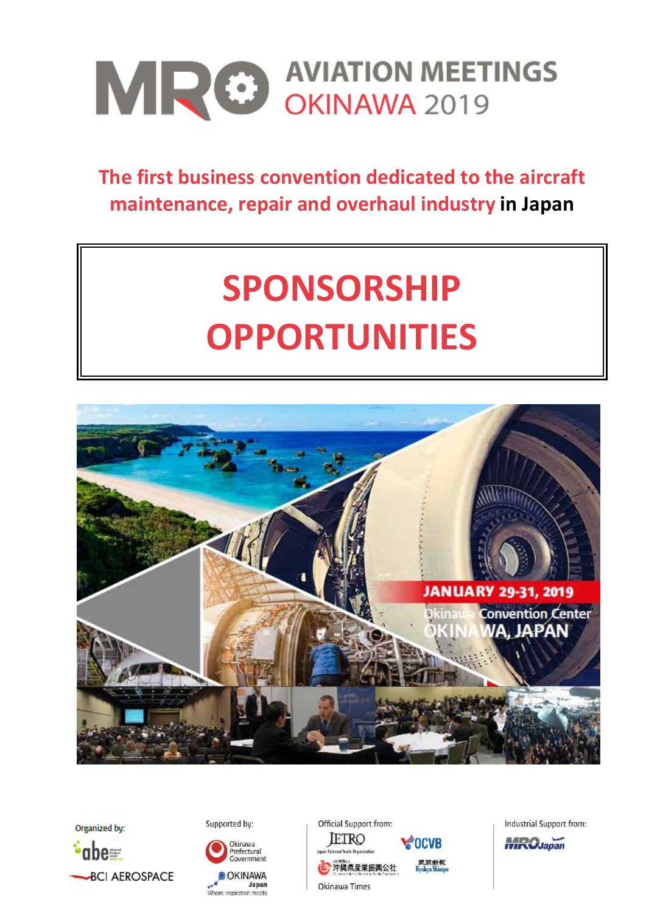

# **The first business convention dedicated to the aircraft maintenance, repair and overhaul industry in Japan**

# **SPONSORSHIP OPPORTUNITIES**





Supported by:



Official Support from: **JETRO** 



Industrial Support from:

**MRO**Japan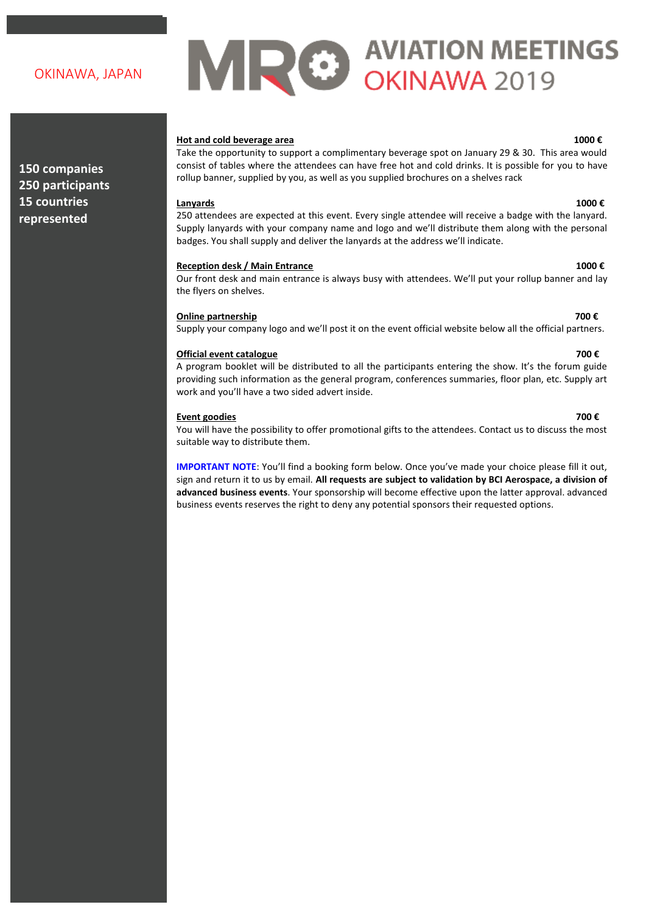## OKINAWA, JAPAN

**150 companies 250 participants 15 countries represented**

# MRO AVIATION MEETINGS

## **Hot and cold beverage area 1000 €**

Take the opportunity to support a complimentary beverage spot on January 29 & 30. This area would consist of tables where the attendees can have free hot and cold drinks. It is possible for you to have rollup banner, supplied by you, as well as you supplied brochures on a shelves rack

## **Lanyards 1000 €**

250 attendees are expected at this event. Every single attendee will receive a badge with the lanyard. Supply lanyards with your company name and logo and we'll distribute them along with the personal badges. You shall supply and deliver the lanyards at the address we'll indicate.

## **Reception desk / Main Entrance 1000 €**

Our front desk and main entrance is always busy with attendees. We'll put your rollup banner and lay the flyers on shelves.

## **Online partnership 700 €**

Supply your company logo and we'll post it on the event official website below all the official partners.

## **Official event catalogue 700 €**

A program booklet will be distributed to all the participants entering the show. It's the forum guide providing such information as the general program, conferences summaries, floor plan, etc. Supply art work and you'll have a two sided advert inside.

## **Event goodies 700 €**

You will have the possibility to offer promotional gifts to the attendees. Contact us to discuss the most suitable way to distribute them.

**IMPORTANT NOTE**: You'll find a booking form below. Once you've made your choice please fill it out, sign and return it to us by email. **All requests are subject to validation by BCI Aerospace, a division of advanced business events**. Your sponsorship will become effective upon the latter approval. advanced business events reserves the right to deny any potential sponsors their requested options.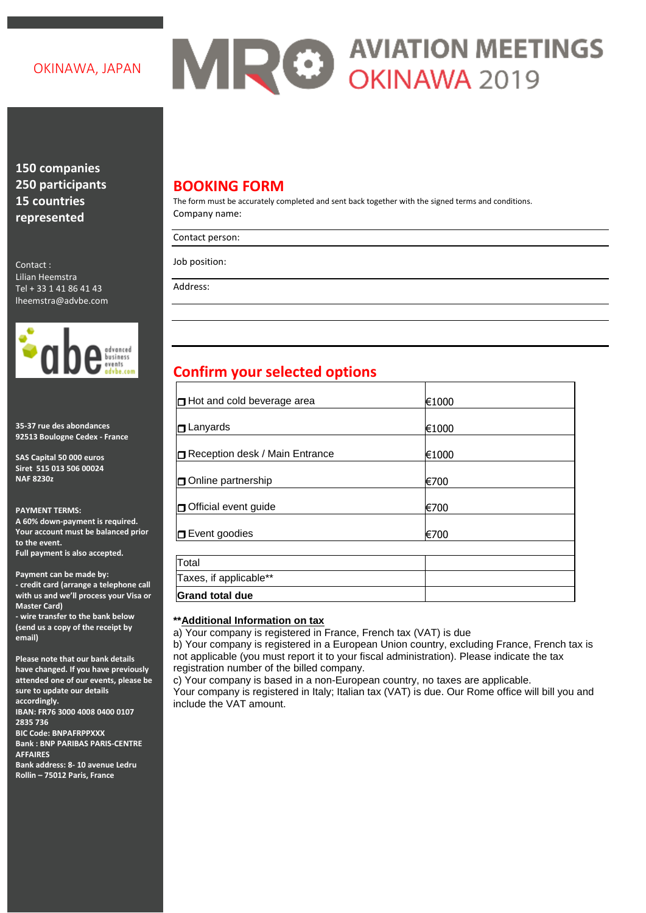## OKINAWA, JAPAN

# MRO AVIATION MEETINGS

**150 companies 250 participants 15 countries represented**

Contact : Lilian Heemstra Tel + 33 1 41 86 41 43 lheemstra@advbe.com



**35-37 rue des abondances 92513 Boulogne Cedex - France**

**SAS Capital 50 000 euros Siret 515 013 506 00024 NAF 8230z**

**PAYMENT TERMS: A 60% down-payment is required. Your account must be balanced prior to the event. Full payment is also accepted.**

**Payment can be made by: - credit card (arrange a telephone call with us and we'll process your Visa or Master Card) - wire transfer to the bank below** 

**(send us a copy of the receipt by email)**

**Please note that our bank details have changed. If you have previously attended one of our events, please be sure to update our details accordingly.**

**IBAN: FR76 3000 4008 0400 0107 2835 736**

**BIC Code: BNPAFRPPXXX Bank : BNP PARIBAS PARIS-CENTRE AFFAIRES Bank address: 8- 10 avenue Ledru** 

**Rollin – 75012 Paris, France**

## **BOOKING FORM**

The form must be accurately completed and sent back together with the signed terms and conditions. Company name:

Contact person:

Job position:

Address:

# **Confirm your selected options**

| <b>Hot and cold beverage area</b> | €1000 |  |
|-----------------------------------|-------|--|
| l <b>□</b> Lanyards               | €1000 |  |
| Reception desk / Main Entrance    | €1000 |  |
| <b>□</b> Online partnership       | €700  |  |
| <b>D</b> Official event guide     | €700  |  |
| Event goodies                     | €700  |  |
|                                   |       |  |
| Total                             |       |  |
| Taxes, if applicable**            |       |  |
| <b>Grand total due</b>            |       |  |

## **\*\*Additional Information on tax**

a) Your company is registered in France, French tax (VAT) is due

b) Your company is registered in a European Union country, excluding France, French tax is not applicable (you must report it to your fiscal administration). Please indicate the tax registration number of the billed company.

c) Your company is based in a non-European country, no taxes are applicable. Your company is registered in Italy; Italian tax (VAT) is due. Our Rome office will bill you and include the VAT amount.